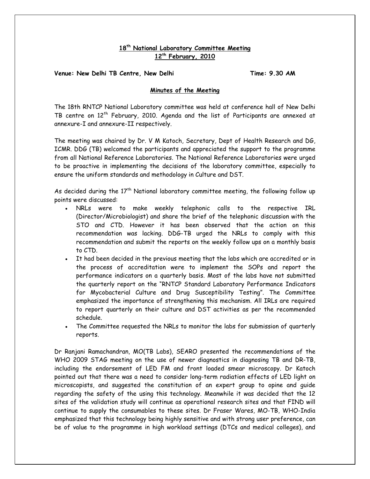## **18th National Laboratory Committee Meeting 12th February, 2010**

Venue: New Delhi TB Centre, New Delhi **The Communist Communist Communist Communist Communist Communist Communist Communist Communist Communist Communist Communist Communist Communist Communist Communist Communist Communist** 

### **Minutes of the Meeting**

The 18th RNTCP National Laboratory committee was held at conference hall of New Delhi TB centre on 12th February, 2010. Agenda and the list of Participants are annexed at annexure-I and annexure-II respectively.

The meeting was chaired by Dr. V M Katoch, Secretary, Dept of Health Research and DG, ICMR. DDG (TB) welcomed the participants and appreciated the support to the programme from all National Reference Laboratories. The National Reference Laboratories were urged to be proactive in implementing the decisions of the laboratory committee, especially to ensure the uniform standards and methodology in Culture and DST.

As decided during the  $17<sup>th</sup>$  National laboratory committee meeting, the following follow up points were discussed:

- NRLs were to make weekly telephonic calls to the respective IRL (Director/Microbiologist) and share the brief of the telephonic discussion with the STO and CTD. However it has been observed that the action on this recommendation was lacking. DDG-TB urged the NRLs to comply with this recommendation and submit the reports on the weekly follow ups on a monthly basis to CTD.
- It had been decided in the previous meeting that the labs which are accredited or in the process of accreditation were to implement the SOPs and report the performance indicators on a quarterly basis. Most of the labs have not submitted the quarterly report on the "RNTCP Standard Laboratory Performance Indicators for Mycobacterial Culture and Drug Susceptibility Testing". The Committee emphasized the importance of strengthening this mechanism. All IRLs are required to report quarterly on their culture and DST activities as per the recommended schedule.
- The Committee requested the NRLs to monitor the labs for submission of quarterly reports.

Dr Ranjani Ramachandran, MO(TB Labs), SEARO presented the recommendations of the WHO 2009 STAG meeting on the use of newer diagnostics in diagnosing TB and DR-TB, including the endorsement of LED FM and front loaded smear microscopy. Dr Katoch pointed out that there was a need to consider long-term radiation effects of LED light on microscopists, and suggested the constitution of an expert group to opine and guide regarding the safety of the using this technology. Meanwhile it was decided that the 12 sites of the validation study will continue as operational research sites and that FIND will continue to supply the consumables to these sites. Dr Fraser Wares, MO-TB, WHO-India emphasized that this technology being highly sensitive and with strong user preference, can be of value to the programme in high workload settings (DTCs and medical colleges), and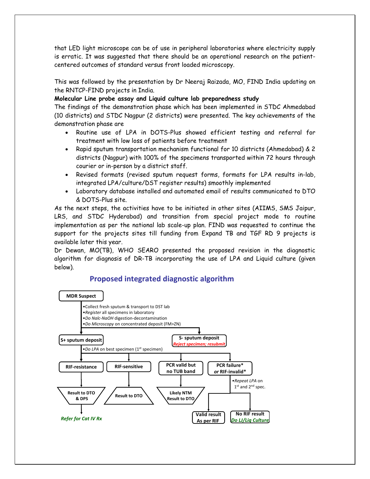that LED light microscope can be of use in peripheral laboratories where electricity supply is erratic. It was suggested that there should be an operational research on the patientcentered outcomes of standard versus front loaded microscopy.

This was followed by the presentation by Dr Neeraj Raizada, MO, FIND India updating on the RNTCP-FIND projects in India.

**Molecular Line probe assay and Liquid culture lab preparedness study** 

The findings of the demonstration phase which has been implemented in STDC Ahmedabad (10 districts) and STDC Nagpur (2 districts) were presented. The key achievements of the demonstration phase are

- Routine use of LPA in DOTS-Plus showed efficient testing and referral for treatment with low loss of patients before treatment
- Rapid sputum transportation mechanism functional for 10 districts (Ahmedabad) & 2 districts (Nagpur) with 100% of the specimens transported within 72 hours through courier or in-person by a district staff.
- Revised formats (revised sputum request forms, formats for LPA results in-lab, integrated LPA/culture/DST register results) smoothly implemented
- Laboratory database installed and automated email of results communicated to DTO & DOTS-Plus site.

As the next steps, the activities have to be initiated in other sites (AIIMS, SMS Jaipur, LRS, and STDC Hyderabad) and transition from special project mode to routine implementation as per the national lab scale-up plan. FIND was requested to continue the support for the projects sites till funding from Expand TB and TGF RD 9 projects is available later this year.

Dr Dewan, MO(TB), WHO SEARO presented the proposed revision in the diagnostic algorithm for diagnosis of DR-TB incorporating the use of LPA and Liquid culture (given below).

# **Proposed integrated diagnostic algorithm**

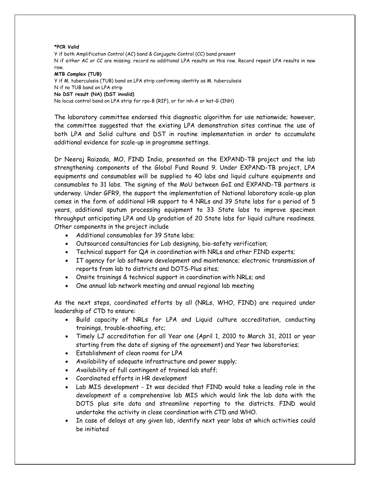#### **\*PCR Valid**

Y if both Amplification Control (AC) band & Conjugate Control (CC) band present N if either AC or CC are missing; record no additional LPA results on this row. Record repeat LPA results in new row.

### **MTB Complex (TUB)**

Y if M. tuberculosis (TUB) band on LPA strip confirming identity as M. tuberculosis N if no TUB band on LPA strip

#### **No DST result (NA) (DST invalid)**

No locus control band on LPA strip for rpo-B (RIF), or for inh-A or kat-G (INH)

The laboratory committee endorsed this diagnostic algorithm for use nationwide; however, the committee suggested that the existing LPA demonstration sites continue the use of both LPA and Solid culture and DST in routine implementation in order to accumulate additional evidence for scale-up in programme settings.

Dr Neeraj Raizada, MO, FIND India, presented on the EXPAND-TB project and the lab strengthening components of the Global Fund Round 9. Under EXPAND-TB project, LPA equipments and consumables will be supplied to 40 labs and liquid culture equipments and consumables to 31 labs. The signing of the MoU between GoI and EXPAND-TB partners is underway. Under GFR9, the support the implementation of National laboratory scale-up plan comes in the form of additional HR support to 4 NRLs and 39 State labs for a period of 5 years, additional sputum processing equipment to 33 State labs to improve specimen throughput anticipating LPA and Up gradation of 20 State labs for liquid culture readiness. Other components in the project include

- Additional consumables for 39 State labs;
- Outsourced consultancies for Lab designing, bio-safety verification;
- Technical support for QA in coordination with NRLs and other FIND experts;
- IT agency for lab software development and maintenance; electronic transmission of reports from lab to districts and DOTS-Plus sites;
- Onsite trainings & technical support in coordination with NRLs; and
- One annual lab network meeting and annual regional lab meeting

As the next steps, coordinated efforts by all (NRLs, WHO, FIND) are required under leadership of CTD to ensure:

- Build capacity of NRLs for LPA and Liquid culture accreditation, conducting trainings, trouble-shooting, etc;
- Timely LJ accreditation for all Year one (April 1, 2010 to March 31, 2011 or year starting from the date of signing of the agreement) and Year two laboratories;
- Establishment of clean rooms for LPA
- Availability of adequate infrastructure and power supply;
- Availability of full contingent of trained lab staff;
- Coordinated efforts in HR development
- Lab MIS development It was decided that FIND would take a leading role in the development of a comprehensive lab MIS which would link the lab data with the DOTS plus site data and streamline reporting to the districts. FIND would undertake the activity in close coordination with CTD and WHO.
- In case of delays at any given lab, identify next year labs at which activities could be initiated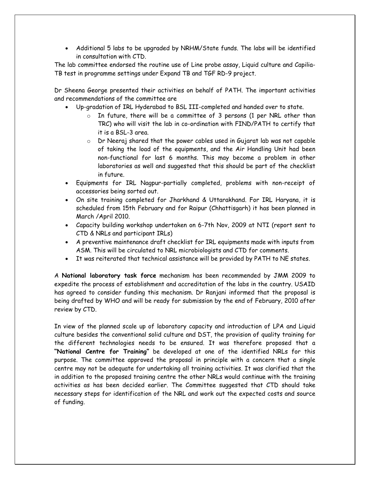• Additional 5 labs to be upgraded by NRHM/State funds. The labs will be identified in consultation with CTD.

The lab committee endorsed the routine use of Line probe assay, Liquid culture and Capilia-TB test in programme settings under Expand TB and TGF RD-9 project.

Dr Sheena George presented their activities on behalf of PATH. The important activities and recommendations of the committee are

- Up-gradation of IRL Hyderabad to BSL III-completed and handed over to state.
	- $\circ$  In future, there will be a committee of 3 persons (1 per NRL other than TRC) who will visit the lab in co-ordination with FIND/PATH to certify that it is a BSL-3 area.
		- $\circ$  Dr Neeraj shared that the power cables used in Gujarat lab was not capable of taking the load of the equipments, and the Air Handling Unit had been non-functional for last 6 months. This may become a problem in other laboratories as well and suggested that this should be part of the checklist in future.
- Equipments for IRL Nagpur-partially completed, problems with non-receipt of accessories being sorted out.
- On site training completed for Jharkhand & Uttarakhand. For IRL Haryana, it is scheduled from 15th February and for Raipur (Chhattisgarh) it has been planned in March /April 2010.
- Capacity building workshop undertaken on 6-7th Nov, 2009 at NTI (report sent to CTD & NRLs and participant IRLs)
- A preventive maintenance draft checklist for IRL equipments made with inputs from ASM. This will be circulated to NRL microbiologists and CTD for comments.
- It was reiterated that technical assistance will be provided by PATH to NE states.

A **National laboratory task force** mechanism has been recommended by JMM 2009 to expedite the process of establishment and accreditation of the labs in the country. USAID has agreed to consider funding this mechanism. Dr Ranjani informed that the proposal is being drafted by WHO and will be ready for submission by the end of February, 2010 after review by CTD.

In view of the planned scale up of laboratory capacity and introduction of LPA and Liquid culture besides the conventional solid culture and DST, the provision of quality training for the different technologies needs to be ensured. It was therefore proposed that a **"National Centre for Training"** be developed at one of the identified NRLs for this purpose. The committee approved the proposal in principle with a concern that a single centre may not be adequate for undertaking all training activities. It was clarified that the in addition to the proposed training centre the other NRLs would continue with the training activities as has been decided earlier. The Committee suggested that CTD should take necessary steps for identification of the NRL and work out the expected costs and source of funding.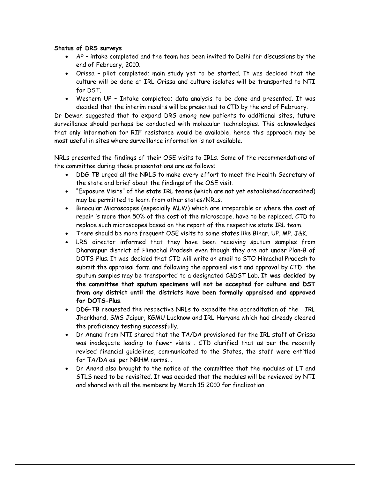### **Status of DRS surveys**

- AP intake completed and the team has been invited to Delhi for discussions by the end of February, 2010.
- Orissa pilot completed; main study yet to be started. It was decided that the culture will be done at IRL Orissa and culture isolates will be transported to NTI for DST.
- Western UP Intake completed; data analysis to be done and presented. It was decided that the interim results will be presented to CTD by the end of February.

Dr Dewan suggested that to expand DRS among new patients to additional sites, future surveillance should perhaps be conducted with molecular technologies. This acknowledges that only information for RIF resistance would be available, hence this approach may be most useful in sites where surveillance information is not available.

NRLs presented the findings of their OSE visits to IRLs. Some of the recommendations of the committee during these presentations are as follows:

- DDG-TB urged all the NRLS to make every effort to meet the Health Secretary of the state and brief about the findings of the OSE visit.
- "Exposure Visits" of the state IRL teams (which are not yet established/accredited) may be permitted to learn from other states/NRLs.
- Binocular Microscopes (especially MLW) which are irreparable or where the cost of repair is more than 50% of the cost of the microscope, have to be replaced. CTD to replace such microscopes based on the report of the respective state IRL team.
- There should be more frequent OSE visits to some states like Bihar, UP, MP, J&K.
- LRS director informed that they have been receiving sputum samples from Dharampur district of Himachal Pradesh even though they are not under Plan-B of DOTS-Plus. It was decided that CTD will write an email to STO Himachal Pradesh to submit the appraisal form and following the appraisal visit and approval by CTD, the sputum samples may be transported to a designated C&DST Lab. **It was decided by the committee that sputum specimens will not be accepted for culture and DST from any district until the districts have been formally appraised and approved for DOTS-Plus**.
- DDG-TB requested the respective NRLs to expedite the accreditation of the IRL Jharkhand, SMS Jaipur, KGMU Lucknow and IRL Haryana which had already cleared the proficiency testing successfully.
- Dr Anand from NTI shared that the TA/DA provisioned for the IRL staff at Orissa was inadequate leading to fewer visits . CTD clarified that as per the recently revised financial guidelines, communicated to the States, the staff were entitled for TA/DA as per NRHM norms. .
- Dr Anand also brought to the notice of the committee that the modules of LT and STLS need to be revisited. It was decided that the modules will be reviewed by NTI and shared with all the members by March 15 2010 for finalization.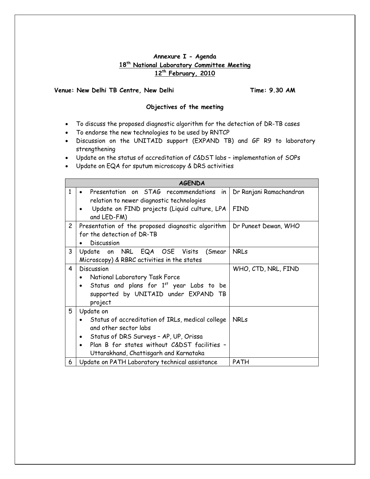## **Annexure I - Agenda 18th National Laboratory Committee Meeting 12th February, 2010**

## Venue: New Delhi TB Centre, New Delhi **Time: 9.30 AM**

### **Objectives of the meeting**

- To discuss the proposed diagnostic algorithm for the detection of DR-TB cases
- To endorse the new technologies to be used by RNTCP
- Discussion on the UNITAID support (EXPAND TB) and GF R9 to laboratory strengthening
- Update on the status of accreditation of C&DST labs implementation of SOPs
- Update on EQA for sputum microscopy & DRS activities

| <b>AGENDA</b>  |                                                                                                                                                                                                                            |                         |
|----------------|----------------------------------------------------------------------------------------------------------------------------------------------------------------------------------------------------------------------------|-------------------------|
| $\mathbf{1}$   | Presentation on STAG recommendations in<br>relation to newer diagnostic technologies                                                                                                                                       | Dr Ranjani Ramachandran |
|                | Update on FIND projects (Liquid culture, LPA<br>and LED-FM)                                                                                                                                                                | <b>FIND</b>             |
| $\overline{c}$ | Presentation of the proposed diagnostic algorithm<br>for the detection of DR-TB<br>Discussion                                                                                                                              | Dr Puneet Dewan, WHO    |
| 3              | Update on NRL EQA OSE Visits<br>(Smear<br>Microscopy) & RBRC activities in the states                                                                                                                                      | <b>NRLs</b>             |
| 4              | Discussion<br>National Laboratory Task Force<br>Status and plans for 1 <sup>st</sup> year Labs to be<br>supported by UNITAID under EXPAND TB<br>project                                                                    | WHO, CTD, NRL, FIND     |
| 5              | Update on<br>Status of accreditation of IRLs, medical college<br>and other sector labs<br>Status of DRS Surveys - AP, UP, Orissa<br>Plan B for states without C&DST facilities -<br>Uttarakhand, Chattisgarh and Karnataka | <b>NRLs</b>             |
| 6              | Update on PATH Laboratory technical assistance                                                                                                                                                                             | PATH                    |